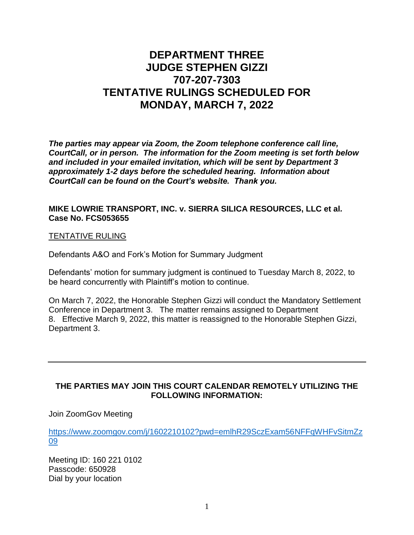## **DEPARTMENT THREE JUDGE STEPHEN GIZZI 707-207-7303 TENTATIVE RULINGS SCHEDULED FOR MONDAY, MARCH 7, 2022**

*The parties may appear via Zoom, the Zoom telephone conference call line, CourtCall, or in person. The information for the Zoom meeting is set forth below and included in your emailed invitation, which will be sent by Department 3 approximately 1-2 days before the scheduled hearing. Information about CourtCall can be found on the Court's website. Thank you.*

## **MIKE LOWRIE TRANSPORT, INC. v. SIERRA SILICA RESOURCES, LLC et al***.* **Case No. FCS053655**

## TENTATIVE RULING

Defendants A&O and Fork's Motion for Summary Judgment

Defendants' motion for summary judgment is continued to Tuesday March 8, 2022, to be heard concurrently with Plaintiff's motion to continue.

On March 7, 2022, the Honorable Stephen Gizzi will conduct the Mandatory Settlement Conference in Department 3. The matter remains assigned to Department 8. Effective March 9, 2022, this matter is reassigned to the Honorable Stephen Gizzi, Department 3.

## **THE PARTIES MAY JOIN THIS COURT CALENDAR REMOTELY UTILIZING THE FOLLOWING INFORMATION:**

Join ZoomGov Meeting

[https://www.zoomgov.com/j/1602210102?pwd=emlhR29SczExam56NFFqWHFvSitmZz](https://www.zoomgov.com/j/1602210102?pwd=emlhR29SczExam56NFFqWHFvSitmZz09) [09](https://www.zoomgov.com/j/1602210102?pwd=emlhR29SczExam56NFFqWHFvSitmZz09)

Meeting ID: 160 221 0102 Passcode: 650928 Dial by your location